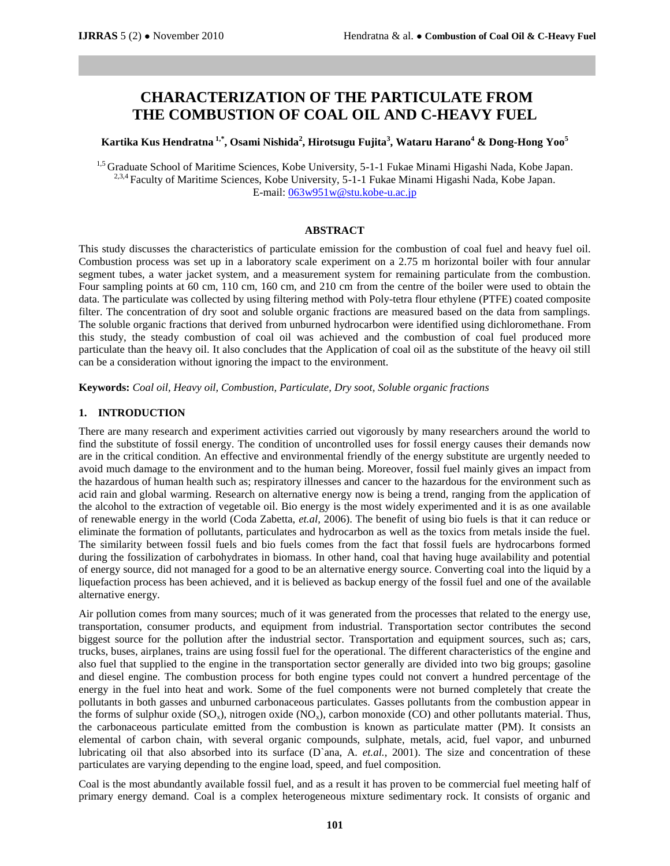# **CHARACTERIZATION OF THE PARTICULATE FROM THE COMBUSTION OF COAL OIL AND C-HEAVY FUEL**

**Kartika Kus Hendratna 1,\* , Osami Nishida<sup>2</sup> , Hirotsugu Fujita<sup>3</sup> , Wataru Harano<sup>4</sup> & Dong-Hong Yoo<sup>5</sup>**

<sup>1,5</sup> Graduate School of Maritime Sciences, Kobe University, 5-1-1 Fukae Minami Higashi Nada, Kobe Japan. <sup>2,3,4</sup> Faculty of Maritime Sciences, Kobe University, 5-1-1 Fukae Minami Higashi Nada, Kobe Japan. E-mail[: 063w951w@stu.kobe-u.ac.jp](mailto:063w951w@stu.kobe-u.ac.jp)

#### **ABSTRACT**

This study discusses the characteristics of particulate emission for the combustion of coal fuel and heavy fuel oil. Combustion process was set up in a laboratory scale experiment on a 2.75 m horizontal boiler with four annular segment tubes, a water jacket system, and a measurement system for remaining particulate from the combustion. Four sampling points at 60 cm, 110 cm, 160 cm, and 210 cm from the centre of the boiler were used to obtain the data. The particulate was collected by using filtering method with Poly-tetra flour ethylene (PTFE) coated composite filter. The concentration of dry soot and soluble organic fractions are measured based on the data from samplings. The soluble organic fractions that derived from unburned hydrocarbon were identified using dichloromethane. From this study, the steady combustion of coal oil was achieved and the combustion of coal fuel produced more particulate than the heavy oil. It also concludes that the Application of coal oil as the substitute of the heavy oil still can be a consideration without ignoring the impact to the environment.

**Keywords:** *Coal oil, Heavy oil, Combustion, Particulate, Dry soot, Soluble organic fractions* 

#### **1. INTRODUCTION**

There are many research and experiment activities carried out vigorously by many researchers around the world to find the substitute of fossil energy. The condition of uncontrolled uses for fossil energy causes their demands now are in the critical condition. An effective and environmental friendly of the energy substitute are urgently needed to avoid much damage to the environment and to the human being. Moreover, fossil fuel mainly gives an impact from the hazardous of human health such as; respiratory illnesses and cancer to the hazardous for the environment such as acid rain and global warming. Research on alternative energy now is being a trend, ranging from the application of the alcohol to the extraction of vegetable oil. Bio energy is the most widely experimented and it is as one available of renewable energy in the world (Coda Zabetta, *et.al,* 2006). The benefit of using bio fuels is that it can reduce or eliminate the formation of pollutants, particulates and hydrocarbon as well as the toxics from metals inside the fuel. The similarity between fossil fuels and bio fuels comes from the fact that fossil fuels are hydrocarbons formed during the fossilization of carbohydrates in biomass. In other hand, coal that having huge availability and potential of energy source, did not managed for a good to be an alternative energy source. Converting coal into the liquid by a liquefaction process has been achieved, and it is believed as backup energy of the fossil fuel and one of the available alternative energy.

Air pollution comes from many sources; much of it was generated from the processes that related to the energy use, transportation, consumer products, and equipment from industrial. Transportation sector contributes the second biggest source for the pollution after the industrial sector. Transportation and equipment sources, such as; cars, trucks, buses, airplanes, trains are using fossil fuel for the operational. The different characteristics of the engine and also fuel that supplied to the engine in the transportation sector generally are divided into two big groups; gasoline and diesel engine. The combustion process for both engine types could not convert a hundred percentage of the energy in the fuel into heat and work. Some of the fuel components were not burned completely that create the pollutants in both gasses and unburned carbonaceous particulates. Gasses pollutants from the combustion appear in the forms of sulphur oxide  $(SO_x)$ , nitrogen oxide  $(NO_x)$ , carbon monoxide  $(CO)$  and other pollutants material. Thus, the carbonaceous particulate emitted from the combustion is known as particulate matter (PM). It consists an elemental of carbon chain, with several organic compounds, sulphate, metals, acid, fuel vapor, and unburned lubricating oil that also absorbed into its surface (D`ana, A. *et.al.*, 2001). The size and concentration of these particulates are varying depending to the engine load, speed, and fuel composition.

Coal is the most abundantly available fossil fuel, and as a result it has proven to be commercial fuel meeting half of primary energy demand. Coal is a complex heterogeneous mixture sedimentary rock. It consists of organic and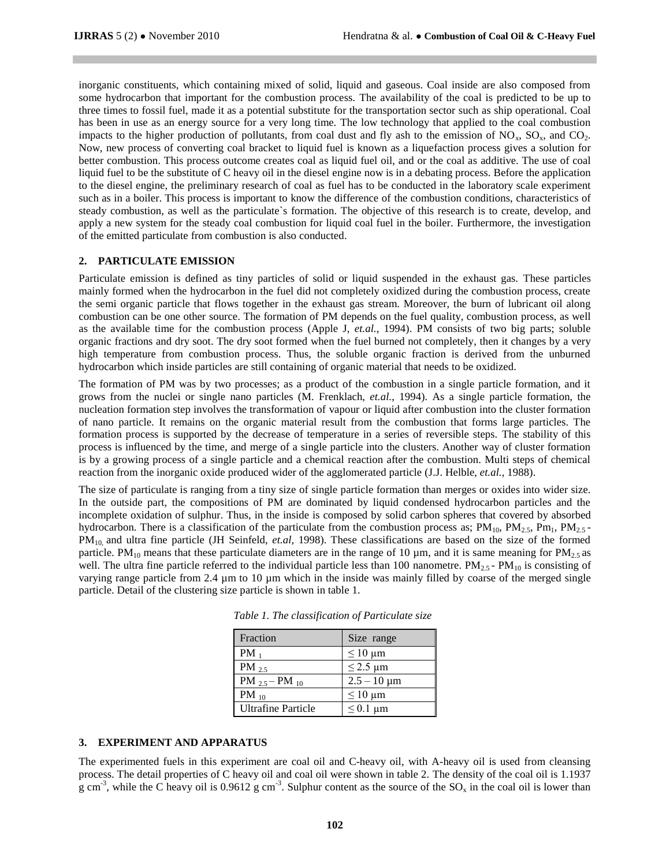inorganic constituents, which containing mixed of solid, liquid and gaseous. Coal inside are also composed from some hydrocarbon that important for the combustion process. The availability of the coal is predicted to be up to three times to fossil fuel, made it as a potential substitute for the transportation sector such as ship operational. Coal has been in use as an energy source for a very long time. The low technology that applied to the coal combustion impacts to the higher production of pollutants, from coal dust and fly ash to the emission of  $NO_x$ ,  $SO_x$ , and  $CO_2$ . Now, new process of converting coal bracket to liquid fuel is known as a liquefaction process gives a solution for better combustion. This process outcome creates coal as liquid fuel oil, and or the coal as additive. The use of coal liquid fuel to be the substitute of C heavy oil in the diesel engine now is in a debating process. Before the application to the diesel engine, the preliminary research of coal as fuel has to be conducted in the laboratory scale experiment such as in a boiler. This process is important to know the difference of the combustion conditions, characteristics of steady combustion, as well as the particulate`s formation. The objective of this research is to create, develop, and apply a new system for the steady coal combustion for liquid coal fuel in the boiler. Furthermore, the investigation of the emitted particulate from combustion is also conducted.

#### **2. PARTICULATE EMISSION**

Particulate emission is defined as tiny particles of solid or liquid suspended in the exhaust gas. These particles mainly formed when the hydrocarbon in the fuel did not completely oxidized during the combustion process, create the semi organic particle that flows together in the exhaust gas stream. Moreover, the burn of lubricant oil along combustion can be one other source. The formation of PM depends on the fuel quality, combustion process, as well as the available time for the combustion process (Apple J, *et.al.*, 1994). PM consists of two big parts; soluble organic fractions and dry soot. The dry soot formed when the fuel burned not completely, then it changes by a very high temperature from combustion process. Thus, the soluble organic fraction is derived from the unburned hydrocarbon which inside particles are still containing of organic material that needs to be oxidized.

The formation of PM was by two processes; as a product of the combustion in a single particle formation, and it grows from the nuclei or single nano particles (M. Frenklach, *et.al.*, 1994). As a single particle formation, the nucleation formation step involves the transformation of vapour or liquid after combustion into the cluster formation of nano particle. It remains on the organic material result from the combustion that forms large particles. The formation process is supported by the decrease of temperature in a series of reversible steps. The stability of this process is influenced by the time, and merge of a single particle into the clusters. Another way of cluster formation is by a growing process of a single particle and a chemical reaction after the combustion. Multi steps of chemical reaction from the inorganic oxide produced wider of the agglomerated particle (J.J. Helble, *et.al.*, 1988).

The size of particulate is ranging from a tiny size of single particle formation than merges or oxides into wider size. In the outside part, the compositions of PM are dominated by liquid condensed hydrocarbon particles and the incomplete oxidation of sulphur. Thus, in the inside is composed by solid carbon spheres that covered by absorbed hydrocarbon. There is a classification of the particulate from the combustion process as;  $PM_{10}$ ,  $PM_{2.5}$ ,  $PM_{10}$ ,  $PM_{2.5}$ . PM10, and ultra fine particle (JH Seinfeld, *et.al,* 1998). These classifications are based on the size of the formed particle. PM<sub>10</sub> means that these particulate diameters are in the range of 10  $\mu$ m, and it is same meaning for PM<sub>2.5</sub> as well. The ultra fine particle referred to the individual particle less than 100 nanometre.  $PM_{2.5}$ -  $PM_{10}$  is consisting of varying range particle from 2.4 µm to 10 µm which in the inside was mainly filled by coarse of the merged single particle. Detail of the clustering size particle is shown in table 1.

| Fraction                  | Size range                    |
|---------------------------|-------------------------------|
| $PM_1$                    | $\leq 10 \mu m$               |
| PM $2.5$                  | $\leq$ 2.5 µm                 |
| $PM_{2.5} - PM_{10}$      | $2.5 - 10 \mu m$              |
| PM $_{10}$                | $\leq 10 \text{ }\mu\text{m}$ |
| <b>Ultrafine Particle</b> | $\leq 0.1$ µm                 |

 *Table 1. The classification of Particulate size* 

### **3. EXPERIMENT AND APPARATUS**

The experimented fuels in this experiment are coal oil and C-heavy oil, with A-heavy oil is used from cleansing process. The detail properties of C heavy oil and coal oil were shown in table 2. The density of the coal oil is 1.1937 g cm<sup>-3</sup>, while the C heavy oil is 0.9612 g cm<sup>-3</sup>. Sulphur content as the source of the SO<sub>x</sub> in the coal oil is lower than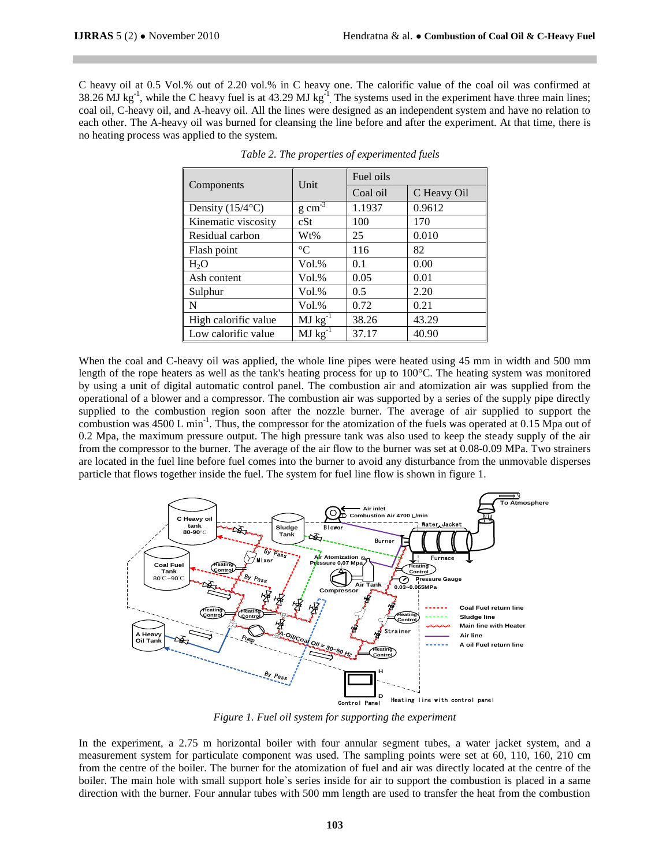C heavy oil at 0.5 Vol.% out of 2.20 vol.% in C heavy one. The calorific value of the coal oil was confirmed at 38.26 MJ kg<sup>-1</sup>, while the C heavy fuel is at 43.29 MJ kg<sup>-1</sup>. The systems used in the experiment have three main lines; coal oil, C-heavy oil, and A-heavy oil. All the lines were designed as an independent system and have no relation to each other. The A-heavy oil was burned for cleansing the line before and after the experiment. At that time, there is no heating process was applied to the system.

| Components           | Unit                | Fuel oils |             |  |
|----------------------|---------------------|-----------|-------------|--|
|                      |                     | Coal oil  | C Heavy Oil |  |
| Density (15/4°C)     | $g \text{ cm}^{-3}$ | 1.1937    | 0.9612      |  |
| Kinematic viscosity  | cSt                 | 100       | 170         |  |
| Residual carbon      | Wt%                 | 25        | 0.010       |  |
| Flash point          | $^{\circ}C$         | 116       | 82          |  |
| H <sub>2</sub> O     | Vol.%               | 0.1       | 0.00        |  |
| Ash content          | $Vol. \%$           | 0.05      | 0.01        |  |
| Sulphur              | $Vol. \%$           | 0.5       | 2.20        |  |
| N                    | Vol.%               | 0.72      | 0.21        |  |
| High calorific value | $MJ kg^{-1}$        | 38.26     | 43.29       |  |
| Low calorific value  | $MJ kg^{-1}$        | 37.17     | 40.90       |  |

*Table 2. The properties of experimented fuels*

When the coal and C-heavy oil was applied, the whole line pipes were heated using 45 mm in width and 500 mm length of the rope heaters as well as the tank's heating process for up to 100°C. The heating system was monitored by using a unit of digital automatic control panel. The combustion air and atomization air was supplied from the operational of a blower and a compressor. The combustion air was supported by a series of the supply pipe directly supplied to the combustion region soon after the nozzle burner. The average of air supplied to support the combustion was 4500 L min<sup>-1</sup>. Thus, the compressor for the atomization of the fuels was operated at 0.15 Mpa out of 0.2 Mpa, the maximum pressure output. The high pressure tank was also used to keep the steady supply of the air from the compressor to the burner. The average of the air flow to the burner was set at 0.08-0.09 MPa. Two strainers are located in the fuel line before fuel comes into the burner to avoid any disturbance from the unmovable disperses particle that flows together inside the fuel. The system for fuel line flow is shown in figure 1.



*Figure 1. Fuel oil system for supporting the experiment*

In the experiment, a 2.75 m horizontal boiler with four annular segment tubes, a water jacket system, and a measurement system for particulate component was used. The sampling points were set at 60, 110, 160, 210 cm from the centre of the boiler. The burner for the atomization of fuel and air was directly located at the centre of the boiler. The main hole with small support hole`s series inside for air to support the combustion is placed in a same direction with the burner. Four annular tubes with 500 mm length are used to transfer the heat from the combustion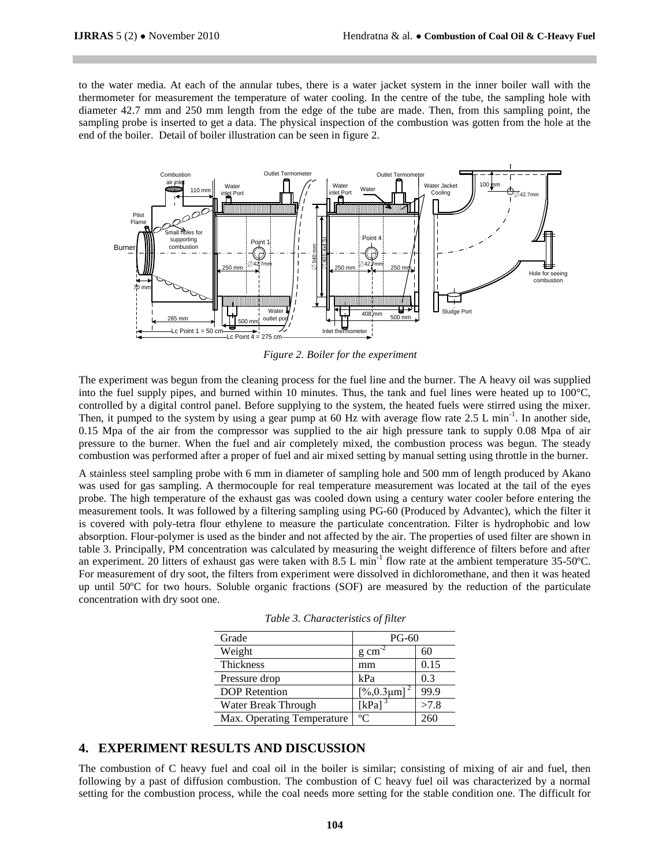to the water media. At each of the annular tubes, there is a water jacket system in the inner boiler wall with the thermometer for measurement the temperature of water cooling. In the centre of the tube, the sampling hole with diameter 42.7 mm and 250 mm length from the edge of the tube are made. Then, from this sampling point, the sampling probe is inserted to get a data. The physical inspection of the combustion was gotten from the hole at the end of the boiler. Detail of boiler illustration can be seen in figure 2.



*Figure 2. Boiler for the experiment*

The experiment was begun from the cleaning process for the fuel line and the burner. The A heavy oil was supplied into the fuel supply pipes, and burned within 10 minutes. Thus, the tank and fuel lines were heated up to 100°C, controlled by a digital control panel. Before supplying to the system, the heated fuels were stirred using the mixer. Then, it pumped to the system by using a gear pump at 60 Hz with average flow rate  $2.5 \text{ L min}^{-1}$ . In another side, 0.15 Mpa of the air from the compressor was supplied to the air high pressure tank to supply 0.08 Mpa of air pressure to the burner. When the fuel and air completely mixed, the combustion process was begun. The steady combustion was performed after a proper of fuel and air mixed setting by manual setting using throttle in the burner.

A stainless steel sampling probe with 6 mm in diameter of sampling hole and 500 mm of length produced by Akano was used for gas sampling. A thermocouple for real temperature measurement was located at the tail of the eyes probe. The high temperature of the exhaust gas was cooled down using a century water cooler before entering the measurement tools. It was followed by a filtering sampling using PG-60 (Produced by Advantec), which the filter it is covered with poly-tetra flour ethylene to measure the particulate concentration. Filter is hydrophobic and low absorption. Flour-polymer is used as the binder and not affected by the air. The properties of used filter are shown in table 3. Principally, PM concentration was calculated by measuring the weight difference of filters before and after an experiment. 20 litters of exhaust gas were taken with 8.5 L min<sup>-1</sup> flow rate at the ambient temperature 35-50°C. For measurement of dry soot, the filters from experiment were dissolved in dichloromethane, and then it was heated up until 50ºC for two hours. Soluble organic fractions (SOF) are measured by the reduction of the particulate concentration with dry soot one.

| Grade                      | $PG-60$              |      |
|----------------------------|----------------------|------|
| Weight                     | $g$ cm <sup>-2</sup> | 60   |
| <b>Thickness</b>           | mm                   | 0.15 |
| Pressure drop              | kPa                  | 0.3  |
| <b>DOP</b> Retention       | [%0.3µm]             | 99.9 |
| Water Break Through        | $[kPa]$ <sup>3</sup> | >7.8 |
| Max. Operating Temperature | $^{\circ}C$          | 260  |

*Table 3. Characteristics of filter*

## **4. EXPERIMENT RESULTS AND DISCUSSION**

The combustion of C heavy fuel and coal oil in the boiler is similar; consisting of mixing of air and fuel, then following by a past of diffusion combustion. The combustion of C heavy fuel oil was characterized by a normal setting for the combustion process, while the coal needs more setting for the stable condition one. The difficult for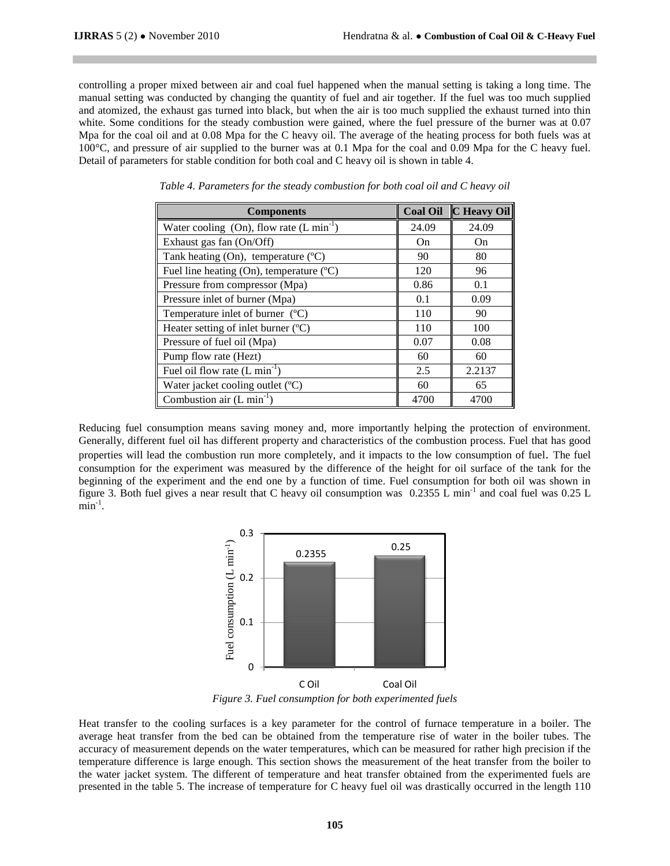controlling a proper mixed between air and coal fuel happened when the manual setting is taking a long time. The manual setting was conducted by changing the quantity of fuel and air together. If the fuel was too much supplied and atomized, the exhaust gas turned into black, but when the air is too much supplied the exhaust turned into thin white. Some conditions for the steady combustion were gained, where the fuel pressure of the burner was at 0.07 Mpa for the coal oil and at 0.08 Mpa for the C heavy oil. The average of the heating process for both fuels was at 100°C, and pressure of air supplied to the burner was at 0.1 Mpa for the coal and 0.09 Mpa for the C heavy fuel. Detail of parameters for stable condition for both coal and C heavy oil is shown in table 4.

| <b>Components</b>                             | <b>Coal Oil</b> | <b>C</b> Heavy Oil |
|-----------------------------------------------|-----------------|--------------------|
| Water cooling (On), flow rate $(L \min^{-1})$ | 24.09           | 24.09              |
| Exhaust gas fan (On/Off)                      | On              | On                 |
| Tank heating (On), temperature (°C)           | 90              | 80                 |
| Fuel line heating (On), temperature $(C)$     | 120             | 96                 |
| Pressure from compressor (Mpa)                | 0.86            | 0.1                |
| Pressure inlet of burner (Mpa)                | 0.1             | 0.09               |
| Temperature inlet of burner (°C)              | 110             | 90                 |
| Heater setting of inlet burner (°C)           | 110             | 100                |
| Pressure of fuel oil (Mpa)                    | 0.07            | 0.08               |
| Pump flow rate (Hezt)                         | 60              | 60                 |
| Fuel oil flow rate $(L min-1)$                | 2.5             | 2.2137             |
| Water jacket cooling outlet (°C)              | 60              | 65                 |
| Combustion air $(L \text{ min}^{-1})$         | 4700            | 4700               |

*Table 4. Parameters for the steady combustion for both coal oil and C heavy oil*

Reducing fuel consumption means saving money and, more importantly helping the protection of environment. Generally, different fuel oil has different property and characteristics of the combustion process. Fuel that has good properties will lead the combustion run more completely, and it impacts to the low consumption of fuel. The fuel consumption for the experiment was measured by the difference of the height for oil surface of the tank for the beginning of the experiment and the end one by a function of time. Fuel consumption for both oil was shown in figure 3. Both fuel gives a near result that C heavy oil consumption was 0.2355 L min<sup>-1</sup> and coal fuel was 0.25 L  $\min^{-1}$ .



*Figure 3. Fuel consumption for both experimented fuels*

Heat transfer to the cooling surfaces is a key parameter for the control of furnace temperature in a boiler. The average heat transfer from the bed can be obtained from the temperature rise of water in the boiler tubes. The accuracy of measurement depends on the water temperatures, which can be measured for rather high precision if the temperature difference is large enough. This section shows the measurement of the heat transfer from the boiler to the water jacket system. The different of temperature and heat transfer obtained from the experimented fuels are presented in the table 5. The increase of temperature for C heavy fuel oil was drastically occurred in the length 110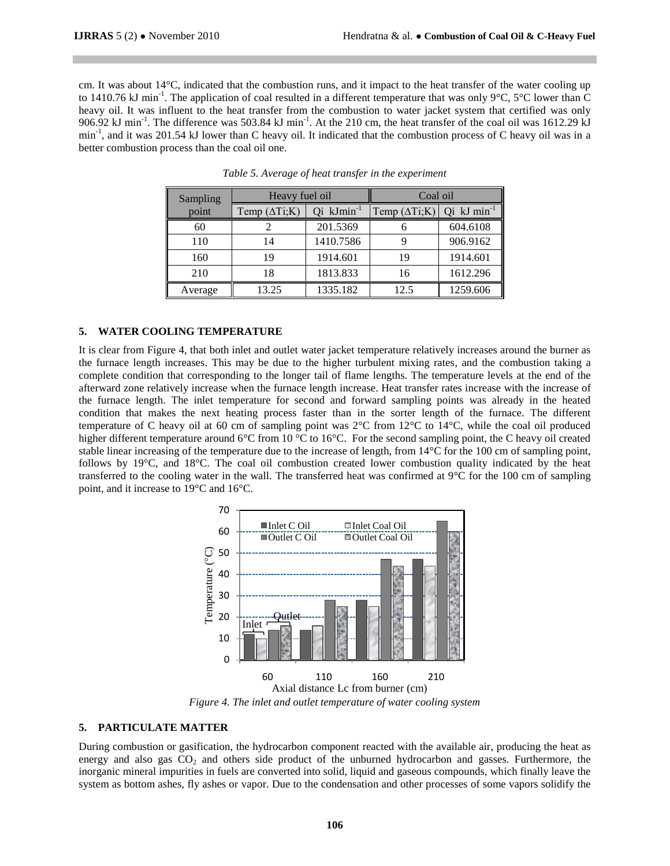cm. It was about 14°C, indicated that the combustion runs, and it impact to the heat transfer of the water cooling up to 1410.76 kJ min<sup>-1</sup>. The application of coal resulted in a different temperature that was only 9°C, 5°C lower than C heavy oil. It was influent to the heat transfer from the combustion to water jacket system that certified was only 906.92 kJ min<sup>-1</sup>. The difference was 503.84 kJ min<sup>-1</sup>. At the 210 cm, the heat transfer of the coal oil was 1612.29 kJ min<sup>-1</sup>, and it was 201.54 kJ lower than C heavy oil. It indicated that the combustion process of C heavy oil was in a better combustion process than the coal oil one.

| Sampling | Heavy fuel oil        |                        | Coal oil              |                    |
|----------|-----------------------|------------------------|-----------------------|--------------------|
| point    | Temp $(\Delta Ti; K)$ | Qi kJmin <sup>-1</sup> | Temp $(\Delta Ti; K)$ | $Qi$ kJ $min^{-1}$ |
| 60       |                       | 201.5369               |                       | 604.6108           |
| 110      | 14                    | 1410.7586              |                       | 906.9162           |
| 160      | 19                    | 1914.601               | 19                    | 1914.601           |
| 210      | 18                    | 1813.833               | 16                    | 1612.296           |
| Average  | 13.25                 | 1335.182               | 12.5                  | 1259.606           |

*Table 5. Average of heat transfer in the experiment*

#### **5. WATER COOLING TEMPERATURE**

It is clear from Figure 4, that both inlet and outlet water jacket temperature relatively increases around the burner as the furnace length increases. This may be due to the higher turbulent mixing rates, and the combustion taking a complete condition that corresponding to the longer tail of flame lengths. The temperature levels at the end of the afterward zone relatively increase when the furnace length increase. Heat transfer rates increase with the increase of the furnace length. The inlet temperature for second and forward sampling points was already in the heated condition that makes the next heating process faster than in the sorter length of the furnace. The different temperature of C heavy oil at 60 cm of sampling point was 2°C from 12°C to 14°C, while the coal oil produced higher different temperature around 6°C from 10 °C to 16°C. For the second sampling point, the C heavy oil created stable linear increasing of the temperature due to the increase of length, from 14°C for the 100 cm of sampling point, follows by 19°C, and 18°C. The coal oil combustion created lower combustion quality indicated by the heat transferred to the cooling water in the wall. The transferred heat was confirmed at 9°C for the 100 cm of sampling point, and it increase to 19°C and 16°C.



*Figure 4. The inlet and outlet temperature of water cooling system*

#### **5. PARTICULATE MATTER**

During combustion or gasification, the hydrocarbon component reacted with the available air, producing the heat as energy and also gas  $CO<sub>2</sub>$  and others side product of the unburned hydrocarbon and gasses. Furthermore, the inorganic mineral impurities in fuels are converted into solid, liquid and gaseous compounds, which finally leave the system as bottom ashes, fly ashes or vapor. Due to the condensation and other processes of some vapors solidify the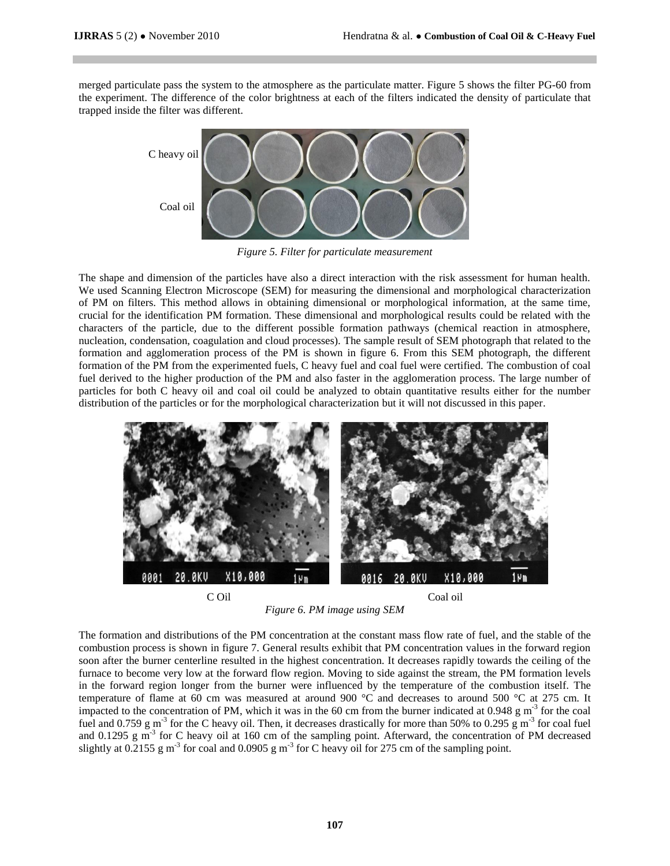merged particulate pass the system to the atmosphere as the particulate matter. Figure 5 shows the filter PG-60 from the experiment. The difference of the color brightness at each of the filters indicated the density of particulate that trapped inside the filter was different.



*Figure 5. Filter for particulate measurement*

The shape and dimension of the particles have also a direct interaction with the risk assessment for human health. We used Scanning Electron Microscope (SEM) for measuring the dimensional and morphological characterization of PM on filters. This method allows in obtaining dimensional or morphological information, at the same time, crucial for the identification PM formation. These dimensional and morphological results could be related with the characters of the particle, due to the different possible formation pathways (chemical reaction in atmosphere, nucleation, condensation, coagulation and cloud processes). The sample result of SEM photograph that related to the formation and agglomeration process of the PM is shown in figure 6. From this SEM photograph, the different formation of the PM from the experimented fuels, C heavy fuel and coal fuel were certified. The combustion of coal fuel derived to the higher production of the PM and also faster in the agglomeration process. The large number of particles for both C heavy oil and coal oil could be analyzed to obtain quantitative results either for the number distribution of the particles or for the morphological characterization but it will not discussed in this paper.



*Figure 6. PM image using SEM* 

The formation and distributions of the PM concentration at the constant mass flow rate of fuel, and the stable of the combustion process is shown in figure 7. General results exhibit that PM concentration values in the forward region soon after the burner centerline resulted in the highest concentration. It decreases rapidly towards the ceiling of the furnace to become very low at the forward flow region. Moving to side against the stream, the PM formation levels in the forward region longer from the burner were influenced by the temperature of the combustion itself. The temperature of flame at 60 cm was measured at around 900 °C and decreases to around 500 °C at 275 cm. It impacted to the concentration of PM, which it was in the 60 cm from the burner indicated at 0.948  $\rm g$  m<sup>-3</sup> for the coal fuel and 0.759  $\rm g$  m<sup>-3</sup> for the C heavy oil. Then, it decreases drastically for more than 50% to 0.295  $\rm g$  m<sup>-3</sup> for coal fuel and 0.1295 g m<sup>-3</sup> for C heavy oil at 160 cm of the sampling point. Afterward, the concentration of PM decreased slightly at 0.2155 g m<sup>-3</sup> for coal and 0.0905 g m<sup>-3</sup> for C heavy oil for 275 cm of the sampling point.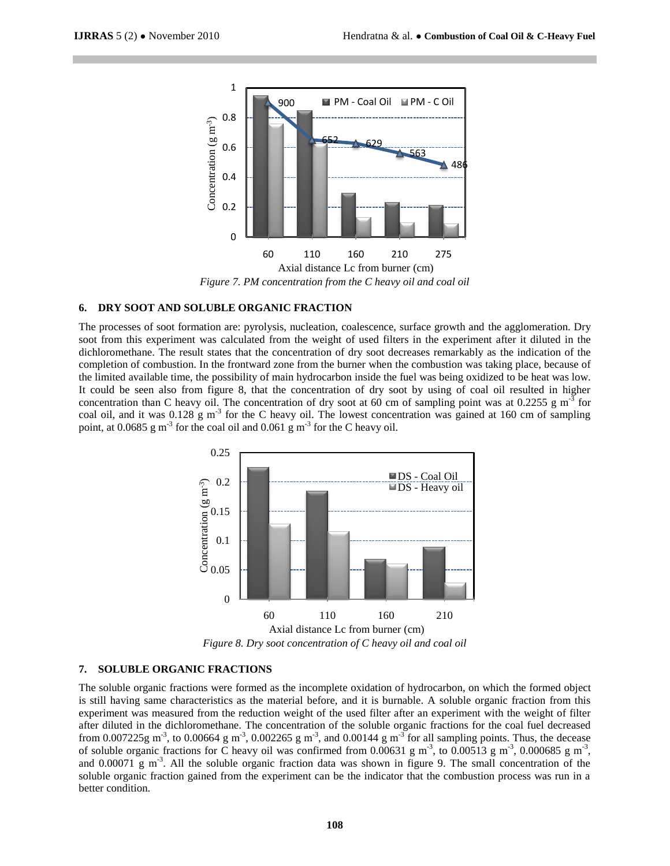

#### **6. DRY SOOT AND SOLUBLE ORGANIC FRACTION**

The processes of soot formation are: pyrolysis, nucleation, coalescence, surface growth and the agglomeration. Dry soot from this experiment was calculated from the weight of used filters in the experiment after it diluted in the dichloromethane. The result states that the concentration of dry soot decreases remarkably as the indication of the completion of combustion. In the frontward zone from the burner when the combustion was taking place, because of the limited available time, the possibility of main hydrocarbon inside the fuel was being oxidized to be heat was low. It could be seen also from figure 8, that the concentration of dry soot by using of coal oil resulted in higher concentration than C heavy oil. The concentration of dry soot at 60 cm of sampling point was at 0.2255 g  $m<sup>3</sup>$  for coal oil, and it was  $0.128 \text{ g m}^{-3}$  for the C heavy oil. The lowest concentration was gained at 160 cm of sampling point, at 0.0685  $\text{g m}^3$  for the coal oil and 0.061  $\text{g m}^3$  for the C heavy oil.



#### **7. SOLUBLE ORGANIC FRACTIONS**

The soluble organic fractions were formed as the incomplete oxidation of hydrocarbon, on which the formed object is still having same characteristics as the material before, and it is burnable. A soluble organic fraction from this experiment was measured from the reduction weight of the used filter after an experiment with the weight of filter after diluted in the dichloromethane. The concentration of the soluble organic fractions for the coal fuel decreased from 0.007225g m<sup>-3</sup>, to 0.00664 g m<sup>-3</sup>, 0.002265 g m<sup>-3</sup>, and 0.00144 g m<sup>-3</sup> for all sampling points. Thus, the decease of soluble organic fractions for C heavy oil was confirmed from 0.00631 g m<sup>-3</sup>, to 0.00513 g m<sup>-3</sup>, 0.000685 g m<sup>-3</sup>, and 0.00071 g m<sup>-3</sup>. All the soluble organic fraction data was shown in figure 9. The small concentration of the soluble organic fraction gained from the experiment can be the indicator that the combustion process was run in a better condition.